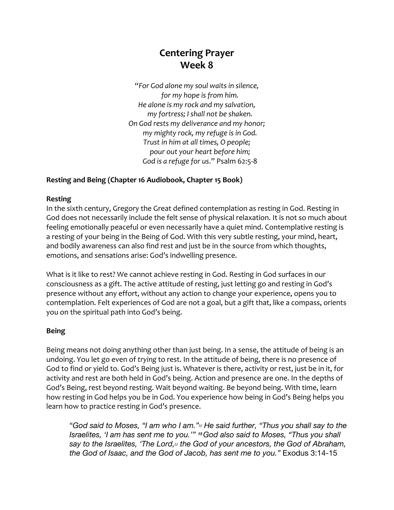## **Centering Prayer Week 8**

"*For God alone my soul waits in silence, for my hope is from him. He alone is my rock and my salvation, my fortress; I shall not be shaken. On God rests my deliverance and my honor; my mighty rock, my refuge is in God. Trust in him at all times, O people; pour out your heart before him; God is a refuge for us*." Psalm 62:5-8

## **Resting and Being (Chapter 16 Audiobook, Chapter 15 Book)**

## **Resting**

In the sixth century, Gregory the Great defined contemplation as resting in God. Resting in God does not necessarily include the felt sense of physical relaxation. It is not so much about feeling emotionally peaceful or even necessarily have a quiet mind. Contemplative resting is a resting of your being in the Being of God. With this very subtle resting, your mind, heart, and bodily awareness can also find rest and just be in the source from which thoughts, emotions, and sensations arise: God's indwelling presence.

What is it like to rest? We cannot achieve resting in God. Resting in God surfaces in our consciousness as a gift. The active attitude of resting, just letting go and resting in God's presence without any effort, without any action to change your experience, opens you to contemplation. Felt experiences of God are not a goal, but a gift that, like a compass, orients you on the spiritual path into God's being.

## **Being**

Being means not doing anything other than just being. In a sense, the attitude of being is an undoing. You let go even of *trying* to rest. In the attitude of being, there is no presence of God to find or yield to. God's Being just is. Whatever is there, activity or rest, just be in it, for activity and rest are both held in God's being. Action and presence are one. In the depths of God's Being, rest beyond resting. Wait beyond waiting. Be beyond being. With time, learn how resting in God helps you be in God. You experience how being in God's Being helps you learn how to practice resting in God's presence.

"*God said to Moses, "I am who I am."[a] He said further, "Thus you shall say to the Israelites, 'I am has sent me to you.'" <sup>15</sup>God also said to Moses, "Thus you shall*  say to the Israelites, 'The Lord,<sup>[b]</sup> the God of your ancestors, the God of Abraham, *the God of Isaac, and the God of Jacob, has sent me to you."* Exodus 3:14-15